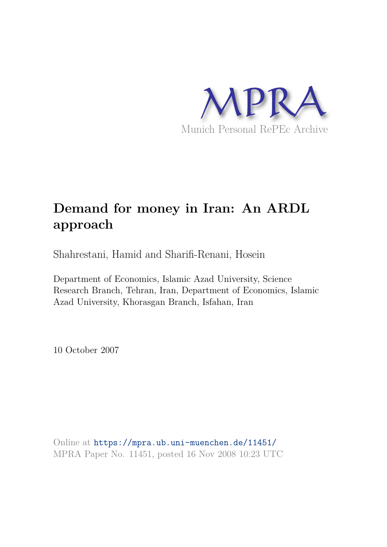

# **Demand for money in Iran: An ARDL approach**

Shahrestani, Hamid and Sharifi-Renani, Hosein

Department of Economics, Islamic Azad University, Science Research Branch, Tehran, Iran, Department of Economics, Islamic Azad University, Khorasgan Branch, Isfahan, Iran

10 October 2007

Online at https://mpra.ub.uni-muenchen.de/11451/ MPRA Paper No. 11451, posted 16 Nov 2008 10:23 UTC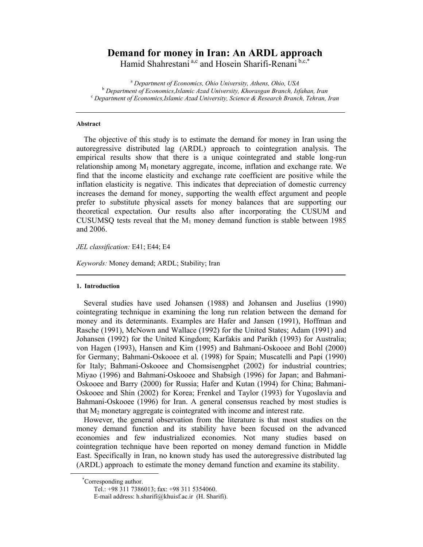# Demand for money in Iran: An ARDL approach

Hamid Shahrestani<sup>a,c</sup> and Hosein Sharifi-Renani<sup>b,c,\*</sup>

<sup>a</sup> Department of Economics, Ohio University, Athens, Ohio, USA <sup>b</sup> Department of Economics, Islamic Azad University, Khorasgan Branch, Isfahan, Iran <sup>c</sup> Department of Economics, Islamic Azad University, Science & Research Branch, Tehran, Iran

#### **Abstract**

The objective of this study is to estimate the demand for money in Iran using the autoregressive distributed lag (ARDL) approach to cointegration analysis. The empirical results show that there is a unique cointegrated and stable long-run relationship among  $M_1$  monetary aggregate, income, inflation and exchange rate. We find that the income elasticity and exchange rate coefficient are positive while the inflation elasticity is negative. This indicates that depreciation of domestic currency increases the demand for money, supporting the wealth effect argument and people prefer to substitute physical assets for money balances that are supporting our theoretical expectation. Our results also after incorporating the CUSUM and CUSUMSQ tests reveal that the  $M_1$  money demand function is stable between 1985 and 2006.

JEL classification: E41; E44; E4

*Keywords:* Money demand; ARDL; Stability; Iran

#### 1. Introduction

Several studies have used Johansen (1988) and Johansen and Juselius (1990) cointegrating technique in examining the long run relation between the demand for money and its determinants. Examples are Hafer and Jansen (1991), Hoffman and Rasche (1991), McNown and Wallace (1992) for the United States; Adam (1991) and Johansen (1992) for the United Kingdom; Karfakis and Parikh (1993) for Australia; von Hagen (1993), Hansen and Kim (1995) and Bahmani-Oskooee and Bohl (2000) for Germany; Bahmani-Oskooee et al. (1998) for Spain; Muscatelli and Papi (1990) for Italy; Bahmani-Oskooee and Chomsisengphet (2002) for industrial countries; Miyao (1996) and Bahmani-Oskooee and Shabsigh (1996) for Japan; and Bahmani-Oskooee and Barry (2000) for Russia; Hafer and Kutan (1994) for China; Bahmani-Oskooee and Shin (2002) for Korea: Frenkel and Taylor (1993) for Yugoslavia and Bahmani-Oskooee (1996) for Iran. A general consensus reached by most studies is that  $M_2$  monetary aggregate is cointegrated with income and interest rate.

However, the general observation from the literature is that most studies on the money demand function and its stability have been focused on the advanced economies and few industrialized economies. Not many studies based on cointegration technique have been reported on money demand function in Middle East. Specifically in Iran, no known study has used the autoregressive distributed lag (ARDL) approach to estimate the money demand function and examine its stability.

<sup>\*</sup>Corresponding author.

Tel.: +98 311 7386013; fax: +98 311 5354060.

E-mail address: h.sharifi@khuisf.ac.ir (H. Sharifi).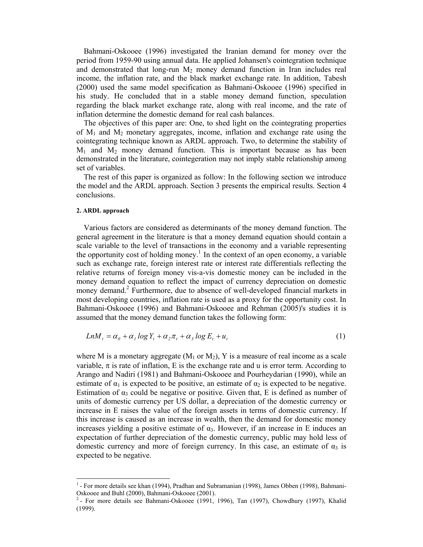Bahmani-Oskooee (1996) investigated the Iranian demand for money over the period from 1959-90 using annual data. He applied Johansen's cointegration technique and demonstrated that long-run  $M_2$  money demand function in Iran includes real income, the inflation rate, and the black market exchange rate. In addition, Tabesh (2000) used the same model specification as Bahmani-Oskooee (1996) specified in his study. He concluded that in a stable money demand function, speculation regarding the black market exchange rate, along with real income, and the rate of inflation determine the domestic demand for real cash balances.

The objectives of this paper are: One, to shed light on the cointegrating properties of  $M_1$  and  $M_2$  monetary aggregates, income, inflation and exchange rate using the cointegrating technique known as ARDL approach. Two, to determine the stability of  $M_1$  and  $M_2$  money demand function. This is important because as has been demonstrated in the literature, cointegeration may not imply stable relationship among set of variables.

The rest of this paper is organized as follow: In the following section we introduce the model and the ARDL approach. Section 3 presents the empirical results. Section 4 conclusions.

#### 2. ARDL approach

<u> 1989 - Andrea Stadt Britain, marwolaeth a bh</u>

Various factors are considered as determinants of the money demand function. The general agreement in the literature is that a money demand equation should contain a scale variable to the level of transactions in the economy and a variable representing the opportunity cost of holding money.<sup>1</sup> In the context of an open economy, a variable such as exchange rate, foreign interest rate or interest rate differentials reflecting the relative returns of foreign money vis-a-vis domestic money can be included in the money demand equation to reflect the impact of currency depreciation on domestic money demand.<sup>2</sup> Furthermore, due to absence of well-developed financial markets in most developing countries, inflation rate is used as a proxy for the opportunity cost. In Bahmani-Oskooee (1996) and Bahmani-Oskooee and Rehman (2005)'s studies it is assumed that the money demand function takes the following form:

$$
LnM_t = \alpha_0 + \alpha_1 \log Y_t + \alpha_2 \pi_t + \alpha_3 \log E_t + u_t
$$
\n(1)

where M is a monetary aggregate ( $M_1$  or  $M_2$ ), Y is a measure of real income as a scale variable,  $\pi$  is rate of inflation, E is the exchange rate and u is error term. According to Arango and Nadiri (1981) and Bahmani-Oskooee and Pourheydarian (1990), while an estimate of  $\alpha_1$  is expected to be positive, an estimate of  $\alpha_2$  is expected to be negative. Estimation of  $\alpha_3$  could be negative or positive. Given that, E is defined as number of units of domestic currency per US dollar, a depreciation of the domestic currency or increase in E raises the value of the foreign assets in terms of domestic currency. If this increase is caused as an increase in wealth, then the demand for domestic money increases yielding a positive estimate of  $\alpha_3$ . However, if an increase in E induces an expectation of further depreciation of the domestic currency, public may hold less of domestic currency and more of foreign currency. In this case, an estimate of  $\alpha_3$  is expected to be negative.

 $1$ - For more details see khan (1994), Pradhan and Subramanian (1998), James Obben (1998), Bahmani-Oskooee and Buhl (2000), Bahmani-Oskooee (2001).

 $2$ - For more details see Bahmani-Oskooee (1991, 1996), Tan (1997), Chowdhury (1997), Khalid (1999).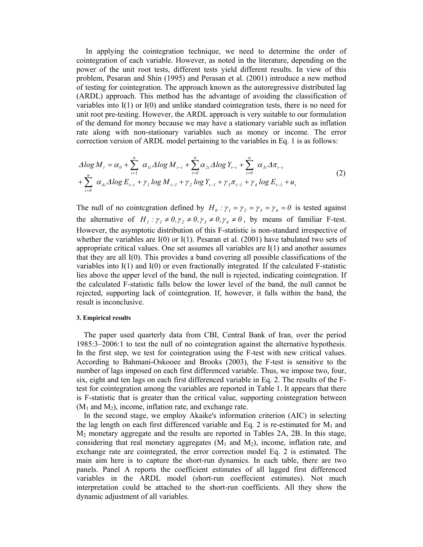In applying the cointegration technique, we need to determine the order of cointegration of each variable. However, as noted in the literature, depending on the power of the unit root tests, different tests yield different results. In view of this problem, Pesaran and Shin (1995) and Perasan et al. (2001) introduce a new method of testing for cointegration. The approach known as the autoregressive distributed lag (ARDL) approach. This method has the advantage of avoiding the classification of variables into  $I(1)$  or  $I(0)$  and unlike standard cointegration tests, there is no need for unit root pre-testing. However, the ARDL approach is very suitable to our formulation of the demand for money because we may have a stationary variable such as inflation rate along with non-stationary variables such as money or income. The error correction version of ARDL model pertaining to the variables in Eq. 1 is as follows:

$$
\Delta \log M_{t} = \alpha_{0} + \sum_{i=1}^{n} \alpha_{1i} \Delta \log M_{t-i} + \sum_{i=0}^{n} \alpha_{2i} \Delta \log Y_{t-i} + \sum_{i=0}^{n} \alpha_{3i} \Delta \pi_{t-i} + \sum_{i=0}^{n} \alpha_{4i} \Delta \log E_{t-i} + \gamma_{1} \log M_{t-1} + \gamma_{2} \log Y_{t-1} + \gamma_{3} \pi_{t-1} + \gamma_{4} \log E_{t-1} + u_{t}
$$
\n(2)

The null of no cointegration defined by  $H_0: \gamma_1 = \gamma_2 = \gamma_3 = \gamma_4 = 0$  is tested against the alternative of  $H_1: \gamma_1 \neq 0, \gamma_2 \neq 0, \gamma_3 \neq 0, \gamma_4 \neq 0$ , by means of familiar F-test. However, the asymptotic distribution of this F-statistic is non-standard irrespective of whether the variables are  $I(0)$  or  $I(1)$ . Pesaran et al. (2001) have tabulated two sets of appropriate critical values. One set assumes all variables are  $I(1)$  and another assumes that they are all  $I(0)$ . This provides a band covering all possible classifications of the variables into  $I(1)$  and  $I(0)$  or even fractionally integrated. If the calculated F-statistic lies above the upper level of the band, the null is rejected, indicating cointegration. If the calculated F-statistic falls below the lower level of the band, the null cannot be rejected, supporting lack of cointegration. If, however, it falls within the band, the result is inconclusive.

### 3. Empirical results

The paper used quarterly data from CBI, Central Bank of Iran, over the period  $1985.3 - 2006.1$  to test the null of no cointegration against the alternative hypothesis. In the first step, we test for cointegration using the F-test with new critical values. According to Bahmani-Oskooee and Brooks (2003), the F-test is sensitive to the number of lags imposed on each first differenced variable. Thus, we impose two, four, six, eight and ten lags on each first differenced variable in Eq. 2. The results of the Ftest for cointegration among the variables are reported in Table 1. It appears that there is F-statistic that is greater than the critical value, supporting cointegration between  $(M_1 \text{ and } M_2)$ , income, inflation rate, and exchange rate.

In the second stage, we employ Akaike's information criterion (AIC) in selecting the lag length on each first differenced variable and Eq. 2 is re-estimated for  $M_1$  and  $M_2$  monetary aggregate and the results are reported in Tables 2A, 2B. In this stage, considering that real monetary aggregates  $(M_1 \text{ and } M_2)$ , income, inflation rate, and exchange rate are cointegrated, the error correction model Eq. 2 is estimated. The main aim here is to capture the short-run dynamics. In each table, there are two panels. Panel A reports the coefficient estimates of all lagged first differenced variables in the ARDL model (short-run coeffecient estimates). Not much interpretation could be attached to the short-run coefficients. All they show the dynamic adjustment of all variables.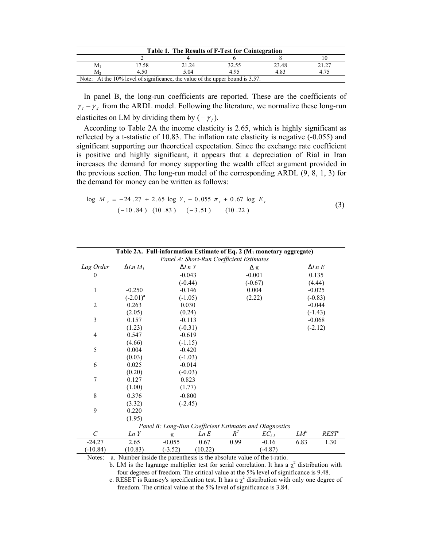| Table 1. The Results of F-Test for Cointegration                                 |       |       |       |       |       |  |  |
|----------------------------------------------------------------------------------|-------|-------|-------|-------|-------|--|--|
|                                                                                  |       |       |       |       |       |  |  |
| M1                                                                               | 17.58 | 21.24 | 32.55 | 23.48 | 21.27 |  |  |
| M۰                                                                               | 4.50  | 5.04  | 4 95  | 483   |       |  |  |
| Note: At the $10\%$ level of significance, the value of the upper bound is 3.57. |       |       |       |       |       |  |  |

In panel B, the long-run coefficients are reported. These are the coefficients of  $\gamma_1 - \gamma_4$  from the ARDL model. Following the literature, we normalize these long-run elasticites on LM by dividing them by  $(-\gamma_i)$ .

According to Table 2A the income elasticity is 2.65, which is highly significant as reflected by a t-statistic of 10.83. The inflation rate elasticity is negative (-0.055) and significant supporting our theoretical expectation. Since the exchange rate coefficient is positive and highly significant, it appears that a depreciation of Rial in Iran increases the demand for money supporting the wealth effect argument provided in the previous section. The long-run model of the corresponding ARDL  $(9, 8, 1, 3)$  for the demand for money can be written as follows:

$$
\log M_{t} = -24.27 + 2.65 \log Y_{t} - 0.055 \pi_{t} + 0.67 \log E_{t}
$$
  
(-10.84) (10.83) (-3.51) (10.22)

| Table 2A. Full-information Estimate of Eq. 2 (M <sub>1</sub> monetary aggregate)                  |                                                                                                     |           |                  |       |            |           |               |  |  |
|---------------------------------------------------------------------------------------------------|-----------------------------------------------------------------------------------------------------|-----------|------------------|-------|------------|-----------|---------------|--|--|
| Panel A: Short-Run Coefficient Estimates                                                          |                                                                                                     |           |                  |       |            |           |               |  |  |
| Lag Order                                                                                         | $\Delta Ln M_1$                                                                                     |           | $\Delta Ln \, Y$ |       | Δπ         |           | $\Delta Ln E$ |  |  |
| $\theta$                                                                                          |                                                                                                     |           | $-0.043$         |       | $-0.001$   |           | 0.135         |  |  |
|                                                                                                   |                                                                                                     |           | $(-0.44)$        |       | $(-0.67)$  |           | (4.44)        |  |  |
| 1                                                                                                 | $-0.250$                                                                                            |           | $-0.146$         | 0.004 |            |           | $-0.025$      |  |  |
|                                                                                                   | $(-2.01)^{a}$                                                                                       |           | $(-1.05)$        |       | (2.22)     |           | $(-0.83)$     |  |  |
| $\overline{2}$                                                                                    | 0.263                                                                                               | 0.030     |                  |       |            | $-0.044$  |               |  |  |
|                                                                                                   | (2.05)                                                                                              | (0.24)    |                  |       |            | $(-1.43)$ |               |  |  |
| $\overline{\mathbf{3}}$                                                                           | 0.157                                                                                               | $-0.113$  |                  |       |            | $-0.068$  |               |  |  |
|                                                                                                   | (1.23)                                                                                              |           | $(-0.31)$        |       |            |           | $(-2.12)$     |  |  |
| $\overline{4}$                                                                                    | 0.547                                                                                               |           | $-0.619$         |       |            |           |               |  |  |
|                                                                                                   | (4.66)                                                                                              |           | $(-1.15)$        |       |            |           |               |  |  |
| 5                                                                                                 | 0.004                                                                                               |           | $-0.420$         |       |            |           |               |  |  |
|                                                                                                   | (0.03)                                                                                              |           | $(-1.03)$        |       |            |           |               |  |  |
| 6                                                                                                 | 0.025                                                                                               |           | $-0.014$         |       |            |           |               |  |  |
|                                                                                                   | (0.20)                                                                                              |           | $(-0.03)$        |       |            |           |               |  |  |
| 7                                                                                                 | 0.127                                                                                               |           | 0.823            |       |            |           |               |  |  |
|                                                                                                   | (1.00)                                                                                              |           | (1.77)           |       |            |           |               |  |  |
| 8                                                                                                 | 0.376                                                                                               |           | $-0.800$         |       |            |           |               |  |  |
|                                                                                                   | (3.32)                                                                                              |           | $(-2.45)$        |       |            |           |               |  |  |
| 9                                                                                                 | 0.220                                                                                               |           |                  |       |            |           |               |  |  |
|                                                                                                   | (1.95)                                                                                              |           |                  |       |            |           |               |  |  |
|                                                                                                   | Panel B: Long-Run Coefficient Estimates and Diagnostics                                             |           |                  |       |            |           |               |  |  |
| $\mathcal{C}_{0}^{0}$                                                                             | Ln Y                                                                                                | π         | Ln E             | $R^2$ | $EC_{t-1}$ | $LM^b$    | $REST^c$      |  |  |
| $-24.27$                                                                                          | 2.65                                                                                                | $-0.055$  | 0.67             | 0.99  | $-0.16$    | 6.83      | 1.30          |  |  |
| $(-10.84)$                                                                                        | (10.83)                                                                                             | $(-3.52)$ | (10.22)          |       | $(-4.87)$  |           |               |  |  |
| Notes:                                                                                            | a. Number inside the parenthesis is the absolute value of the t-ratio.                              |           |                  |       |            |           |               |  |  |
| b. LM is the lagrange multiplier test for serial correlation. It has a $\chi^2$ distribution with |                                                                                                     |           |                  |       |            |           |               |  |  |
|                                                                                                   | four degrees of freedom. The critical value at the 5% level of significance is 9.48.                |           |                  |       |            |           |               |  |  |
|                                                                                                   | $\alpha$ DECET is Demasy's apositionian toot. It has a $\nu^2$ distribution with only and degree of |           |                  |       |            |           |               |  |  |

c. RESET is Ramsey's specification test. It has a  $\chi^2$  distribution with only one degree of freedom. The critical value at the 5% level of significance is 3.84.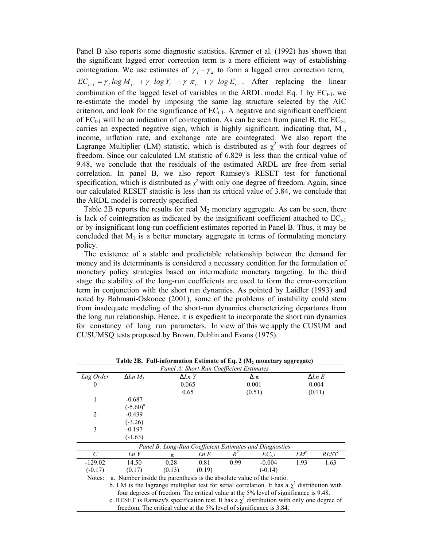Panel B also reports some diagnostic statistics. Kremer et al. (1992) has shown that the significant lagged error correction term is a more efficient way of establishing cointegration. We use estimates of  $\gamma_1 - \gamma_4$  to form a lagged error correction term,  $EC_{t-1} = \gamma_l \log M_{t-1} + \gamma \log Y_t + \gamma \pi_{t-1} + \gamma \log E_{t-1}$ . After replacing the linear combination of the lagged level of variables in the ARDL model Eq. 1 by  $EC_{t-1}$ , we re-estimate the model by imposing the same lag structure selected by the AIC criterion, and look for the significance of  $EC_{t-1}$ . A negative and significant coefficient of  $EC_{t-1}$  will be an indication of cointegration. As can be seen from panel B, the  $EC_{t-1}$ carries an expected negative sign, which is highly significant, indicating that,  $M_1$ , income, inflation rate, and exchange rate are cointegrated. We also report the Lagrange Multiplier (LM) statistic, which is distributed as  $\chi^2$  with four degrees of freedom. Since our calculated LM statistic of 6.829 is less than the critical value of 9.48, we conclude that the residuals of the estimated ARDL are free from serial correlation. In panel B, we also report Ramsey's RESET test for functional specification, which is distributed as  $\chi^2$  with only one degree of freedom. Again, since our calculated RESET statistic is less than its critical value of 3.84, we conclude that the ARDL model is correctly specified.

Table 2B reports the results for real  $M_2$  monetary aggregate. As can be seen, there is lack of cointegration as indicated by the insignificant coefficient attached to  $EC_{t-1}$ or by insignificant long-run coefficient estimates reported in Panel B. Thus, it may be concluded that  $M_1$  is a better monetary aggregate in terms of formulating monetary policy.

The existence of a stable and predictable relationship between the demand for money and its determinants is considered a necessary condition for the formulation of monetary policy strategies based on intermediate monetary targeting. In the third stage the stability of the long-run coefficients are used to form the error-correction term in conjunction with the short run dynamics. As pointed by Laidler (1993) and noted by Bahmani-Oskooee (2001), some of the problems of instability could stem from inadequate modeling of the short-run dynamics characterizing departures from the long run relationship. Hence, it is expedient to incorporate the short run dynamics for constancy of long run parameters. In view of this we apply the CUSUM and CUSUMSO tests proposed by Brown, Dublin and Evans (1975).

|                | Table 2D. Tun-information estimate of Eq. 2 (142 monetary aggregate)                              |                  |                                          |        |                                                         |               |          |
|----------------|---------------------------------------------------------------------------------------------------|------------------|------------------------------------------|--------|---------------------------------------------------------|---------------|----------|
|                |                                                                                                   |                  | Panel A: Short-Run Coefficient Estimates |        |                                                         |               |          |
| Lag Order      | $\Delta Ln M_1$                                                                                   | $\Delta Ln \, Y$ |                                          | Δπ     |                                                         | $\Delta Ln~E$ |          |
| $\Omega$       |                                                                                                   | 0.065            |                                          | 0.001  |                                                         | 0.004         |          |
|                |                                                                                                   | 0.65             |                                          | (0.51) |                                                         | (0.11)        |          |
| 1              | $-0.687$                                                                                          |                  |                                          |        |                                                         |               |          |
|                | $(-5.60)^a$                                                                                       |                  |                                          |        |                                                         |               |          |
| $\overline{2}$ | $-0.439$                                                                                          |                  |                                          |        |                                                         |               |          |
|                | $(-3.26)$                                                                                         |                  |                                          |        |                                                         |               |          |
| 3              | $-0.197$                                                                                          |                  |                                          |        |                                                         |               |          |
|                | $(-1.63)$                                                                                         |                  |                                          |        |                                                         |               |          |
|                |                                                                                                   |                  |                                          |        | Panel B: Long-Run Coefficient Estimates and Diagnostics |               |          |
| C              | Ln Y                                                                                              | $\pi$            | Ln E                                     | $R^2$  | $EC_{t-1}$                                              | $LM^b$        | $REST^c$ |
| $-129.02$      | 14.50                                                                                             | 0.28             | 0.81                                     | 0.99   | $-0.004$                                                | 1.93          | 1.63     |
| $(-0.17)$      | (0.17)                                                                                            | (0.13)           | (0.19)                                   |        | $(-0.14)$                                               |               |          |
| Notes:         | a. Number inside the parenthesis is the absolute value of the t-ratio.                            |                  |                                          |        |                                                         |               |          |
|                | b. LM is the lagrange multiplier test for serial correlation. It has a $\chi^2$ distribution with |                  |                                          |        |                                                         |               |          |
|                | four degrees of freedom. The critical value at the 5% level of significance is 9.48.              |                  |                                          |        |                                                         |               |          |
|                | c. RESET is Ramsey's specification test. It has a $y^2$ distribution with only one degree of      |                  |                                          |        |                                                         |               |          |

Table 2B. Full-information Estimate of Eq. 2 (M<sub>2</sub> monetary aggregate)

c. RESET is Ramsey's specification test. It has a  $\chi^2$  distribution with only one degree of

freedom. The critical value at the 5% level of significance is 3.84.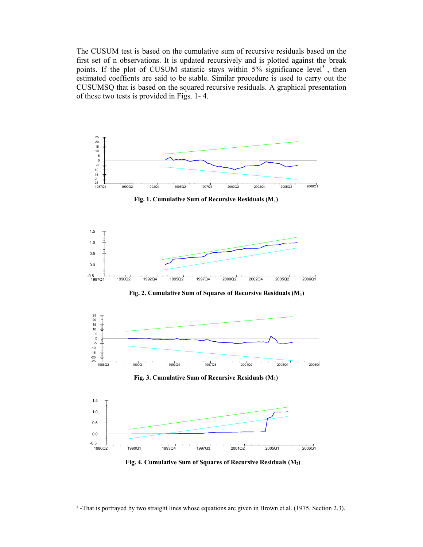The CUSUM test is based on the cumulative sum of recursive residuals based on the first set of n observations. It is updated recursively and is plotted against the break points. If the plot of CUSUM statistic stays within 5% significance level<sup>3</sup>, then estimated coeffients are said to be stable. Similar procedure is used to carry out the CUSUMSQ that is based on the squared recursive residuals. A graphical presentation of these two tests is provided in Figs. 1-4.



Fig. 1. Cumulative Sum of Recursive Residuals  $(M_1)$ 



Fig. 2. Cumulative Sum of Squares of Recursive Residuals  $(M_1)$ 



Fig. 3. Cumulative Sum of Recursive Residuals  $(M_2)$ 



Fig. 4. Cumulative Sum of Squares of Recursive Residuals (M2)

 $3$ -That is portrayed by two straight lines whose equations arc given in Brown et al. (1975, Section 2.3).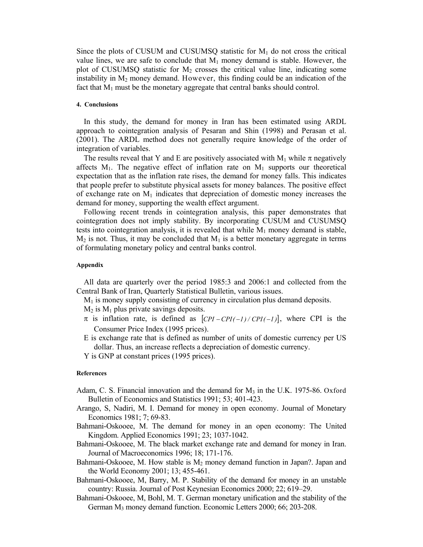Since the plots of CUSUM and CUSUMSQ statistic for  $M_1$  do not cross the critical value lines, we are safe to conclude that  $M_1$  money demand is stable. However, the plot of CUSUMSQ statistic for  $M_2$  crosses the critical value line, indicating some instability in  $M_2$  money demand. However, this finding could be an indication of the fact that  $M_1$  must be the monetary aggregate that central banks should control.

## 4. Conclusions

In this study, the demand for money in Iran has been estimated using ARDL approach to cointegration analysis of Pesaran and Shin (1998) and Perasan et al. (2001). The ARDL method does not generally require knowledge of the order of integration of variables.

The results reveal that Y and E are positively associated with M<sub>1</sub> while  $\pi$  negatively affects  $M_1$ . The negative effect of inflation rate on  $M_1$  supports our theoretical expectation that as the inflation rate rises, the demand for money falls. This indicates that people prefer to substitute physical assets for money balances. The positive effect of exchange rate on  $M_1$  indicates that depreciation of domestic money increases the demand for money, supporting the wealth effect argument.

Following recent trends in cointegration analysis, this paper demonstrates that cointegration does not imply stability. By incorporating CUSUM and CUSUMSQ tests into cointegration analysis, it is revealed that while  $M_1$  money demand is stable,  $M_2$  is not. Thus, it may be concluded that  $M_1$  is a better monetary aggregate in terms of formulating monetary policy and central banks control.

#### Appendix

All data are quarterly over the period 1985:3 and 2006:1 and collected from the Central Bank of Iran, Quarterly Statistical Bulletin, various issues.

- $M_1$  is money supply consisting of currency in circulation plus demand deposits.
- $M_2$  is  $M_1$  plus private savings deposits.
- $\pi$  is inflation rate, is defined as  $[CH \frac{CPI(-1)}{CPI(-1)}]$ , where CPI is the Consumer Price Index (1995 prices).
- E is exchange rate that is defined as number of units of domestic currency per US dollar. Thus, an increase reflects a depreciation of domestic currency.
- Y is GNP at constant prices (1995 prices).

#### References

- Adam, C. S. Financial innovation and the demand for  $M_3$  in the U.K. 1975-86. Oxford Bulletin of Economics and Statistics 1991; 53; 401-423.
- Arango, S, Nadiri, M. I. Demand for money in open economy. Journal of Monetary Economics 1981; 7: 69-83.
- Bahmani-Oskooee, M. The demand for money in an open economy: The United Kingdom. Applied Economics 1991; 23; 1037-1042.
- Bahmani-Oskooee, M. The black market exchange rate and demand for money in Iran. Journal of Macroeconomics 1996; 18; 171-176.
- Bahmani-Oskooee, M. How stable is  $M_2$  money demand function in Japan?. Japan and the World Economy 2001; 13; 455-461.
- Bahmani-Oskooee, M, Barry, M. P. Stability of the demand for money in an unstable country: Russia. Journal of Post Keynesian Economics 2000; 22; 619–29.
- Bahmani-Oskooee, M, Bohl, M. T. German monetary unification and the stability of the German M<sub>3</sub> money demand function. Economic Letters 2000; 66; 203-208.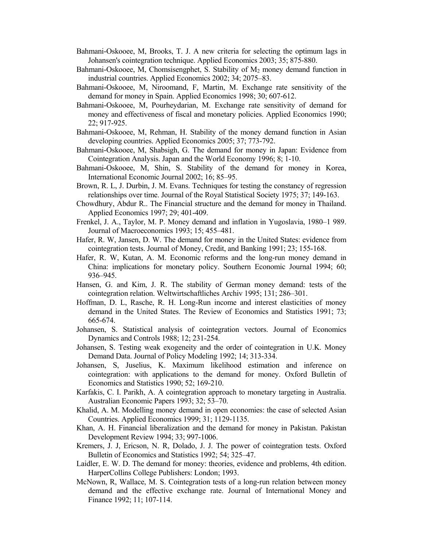- Bahmani-Oskooee, M, Brooks, T. J. A new criteria for selecting the optimum lags in Johansen's cointegration technique. Applied Economics 2003; 35; 875-880.
- Bahmani-Oskooee, M, Chomsisengphet, S. Stability of  $M_2$  money demand function in industrial countries. Applied Economics 2002; 34; 2075–83.
- Bahmani-Oskooee, M, Niroomand, F, Martin, M. Exchange rate sensitivity of the demand for money in Spain. Applied Economics 1998; 30; 607-612.
- Bahmani-Oskooee, M, Pourheydarian, M. Exchange rate sensitivity of demand for money and effectiveness of fiscal and monetary policies. Applied Economics 1990; 22; 917-925.
- Bahmani-Oskooee, M, Rehman, H. Stability of the money demand function in Asian developing countries. Applied Economics 2005; 37; 773-792.
- Bahmani-Oskooee, M, Shabsigh, G. The demand for money in Japan: Evidence from Cointegration Analysis. Japan and the World Economy 1996; 8; 1-10.
- Bahmani-Oskooee, M, Shin, S. Stability of the demand for money in Korea, International Economic Journal 2002; 16: 85–95.
- Brown, R. L, J. Durbin, J. M. Evans. Techniques for testing the constancy of regression relationships over time. Journal of the Royal Statistical Society 1975; 37; 149-163.
- Chowdhury, Abdur R.. The Financial structure and the demand for money in Thailand. Applied Economics 1997; 29; 401-409.
- Frenkel, J. A., Taylor, M. P. Money demand and inflation in Yugoslavia, 1980–1989. Journal of Macroeconomics 1993; 15; 455-481.
- Hafer, R. W. Jansen, D. W. The demand for money in the United States: evidence from cointegration tests. Journal of Money, Credit, and Banking 1991; 23; 155-168.
- Hafer, R. W, Kutan, A. M. Economic reforms and the long-run money demand in China: implications for monetary policy. Southern Economic Journal 1994; 60; 936–945.
- Hansen, G. and Kim, J. R. The stability of German money demand: tests of the cointegration relation. Weltwirtschaftliches Archiv 1995; 131; 286–301.
- Hoffman, D. L, Rasche, R. H. Long-Run income and interest elasticities of money demand in the United States. The Review of Economics and Statistics 1991; 73; 665674.
- Johansen, S. Statistical analysis of cointegration vectors. Journal of Economics Dynamics and Controls 1988; 12; 231-254.
- Johansen, S. Testing weak exogeneity and the order of cointegration in U.K. Money Demand Data. Journal of Policy Modeling 1992; 14; 313-334.
- Johansen, S, Juselius, K. Maximum likelihood estimation and inference on cointegration: with applications to the demand for money. Oxford Bulletin of Economics and Statistics 1990; 52; 169-210.
- Karfakis, C. I. Parikh, A. A cointegration approach to monetary targeting in Australia. Australian Economic Papers 1993; 32; 53–70.
- Khalid, A. M. Modelling money demand in open economies: the case of selected Asian Countries. Applied Economics 1999; 31; 1129-1135.
- Khan, A. H. Financial liberalization and the demand for money in Pakistan. Pakistan Development Review 1994; 33; 997-1006.
- Kremers, J. J, Ericson, N. R, Dolado, J. J. The power of cointegration tests. Oxford Bulletin of Economics and Statistics 1992; 54; 325–47.
- Laidler, E. W. D. The demand for money: theories, evidence and problems, 4th edition. HarperCollins College Publishers: London; 1993.
- McNown, R, Wallace, M. S. Cointegration tests of a long-run relation between money demand and the effective exchange rate. Journal of International Money and Finance 1992; 11; 107-114.